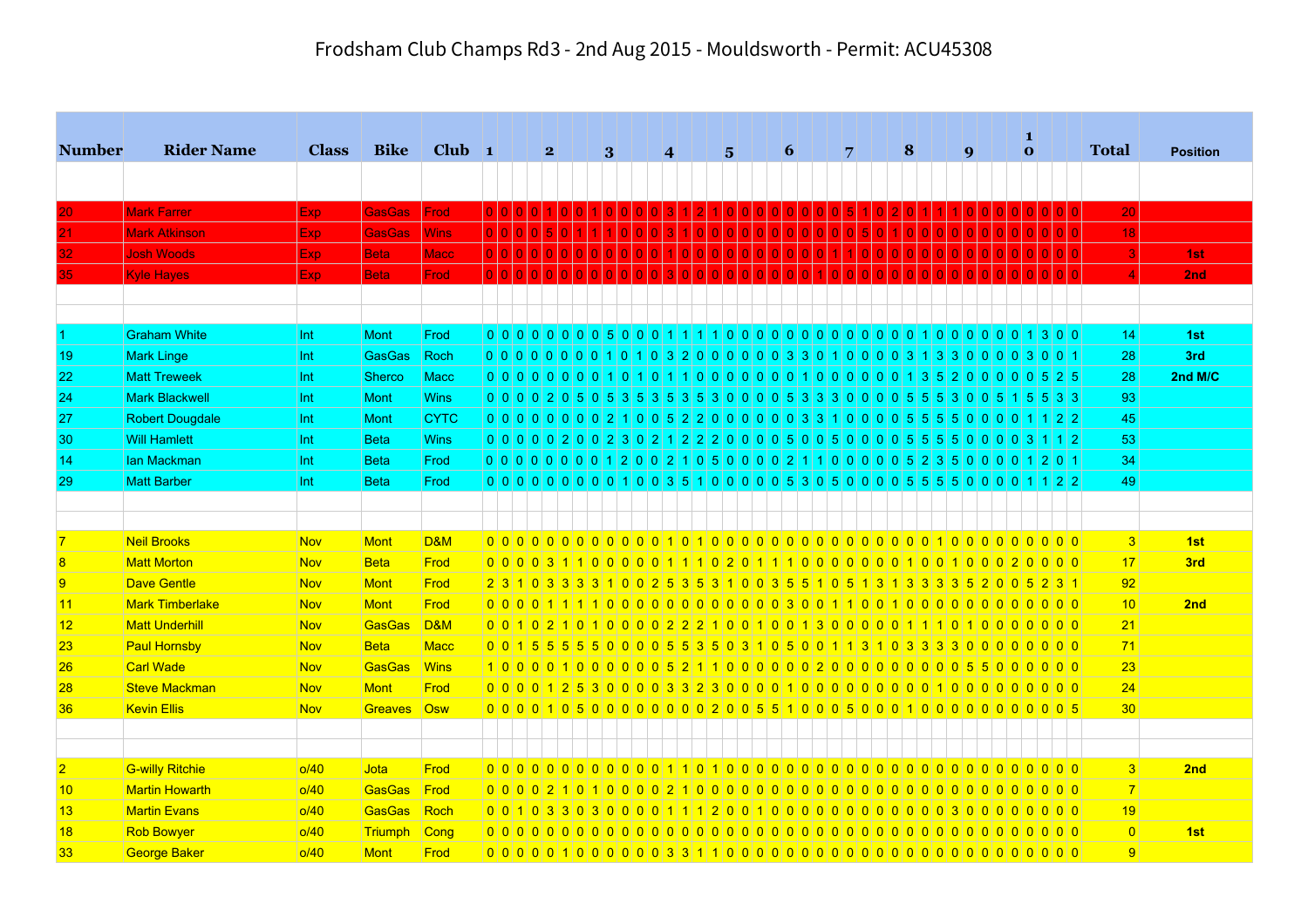|                 |                        |              |               |                  |  |   |  |              |  |                 |                   |                 |     |                 |         |   |                       |     |   |  |                  |  | $\bf{1}$ |                                                                                       |                 |                 |
|-----------------|------------------------|--------------|---------------|------------------|--|---|--|--------------|--|-----------------|-------------------|-----------------|-----|-----------------|---------|---|-----------------------|-----|---|--|------------------|--|----------|---------------------------------------------------------------------------------------|-----------------|-----------------|
| <b>Number</b>   | <b>Rider Name</b>      | <b>Class</b> | <b>Bike</b>   | $Club$ 1         |  | 2 |  | $\mathbf{3}$ |  | $\vert 4 \vert$ |                   | $5\overline{ }$ |     | $\vert 6 \vert$ |         | 7 |                       |     | 8 |  | $\boldsymbol{9}$ |  | $\bf{0}$ |                                                                                       | <b>Total</b>    | <b>Position</b> |
|                 |                        |              |               |                  |  |   |  |              |  |                 |                   |                 |     |                 |         |   |                       |     |   |  |                  |  |          |                                                                                       |                 |                 |
| 20              | <b>Mark Farrer</b>     | <b>Exp</b>   | <b>GasGas</b> | Frod             |  |   |  |              |  |                 |                   |                 |     |                 |         |   |                       |     |   |  |                  |  |          |                                                                                       | 20              |                 |
| 21              | <b>Mark Atkinson</b>   | Exp.         | <b>GasGas</b> | <b>Wins</b>      |  |   |  |              |  |                 | 1   0   0   0   0 |                 | 0 0 |                 | 0 0 0 0 |   | $\vert 5 \vert$<br> 0 |     |   |  |                  |  |          |                                                                                       | 18              |                 |
| 32              | <b>Josh Woods</b>      | Exp.         | <b>Beta</b>   | <b>Macc</b>      |  |   |  |              |  |                 | 1000000           |                 | 0 0 |                 | 0001110 |   |                       | 0 0 |   |  |                  |  |          |                                                                                       | 3               | 1st             |
| 35              | <b>Kyle Hayes</b>      | Exp.         | <b>Beta</b>   | Frod             |  |   |  |              |  |                 |                   |                 |     |                 |         |   |                       |     |   |  |                  |  |          |                                                                                       |                 | 2nd             |
|                 |                        |              |               |                  |  |   |  |              |  |                 |                   |                 |     |                 |         |   |                       |     |   |  |                  |  |          |                                                                                       |                 |                 |
|                 |                        |              |               |                  |  |   |  |              |  |                 |                   |                 |     |                 |         |   |                       |     |   |  |                  |  |          |                                                                                       |                 |                 |
|                 | <b>Graham White</b>    | Int          | <b>Mont</b>   | Frod             |  |   |  |              |  |                 |                   |                 |     |                 |         |   |                       |     |   |  |                  |  |          |                                                                                       | 14              | 1st             |
| 19              | <b>Mark Linge</b>      | Int          | GasGas        | Roch             |  |   |  |              |  |                 |                   |                 |     |                 |         |   |                       |     |   |  |                  |  |          | 0000000001010103200000003301000000313000000300                                        | 28              | 3rd             |
| 22              | <b>Matt Treweek</b>    | Int          | <b>Sherco</b> | Macc             |  |   |  |              |  |                 |                   |                 |     |                 |         |   |                       |     |   |  |                  |  |          |                                                                                       | 28              | 2nd M/C         |
| 24              | <b>Mark Blackwell</b>  | Int          | <b>Mont</b>   | <b>Wins</b>      |  |   |  |              |  |                 |                   |                 |     |                 |         |   |                       |     |   |  |                  |  |          | 0 0 0 0 2 0 5 0 5 3 5 3 5 3 5 3 6 3 0 0 0 5 5 3 3 3 0 0 0 0 5 5 5 3 0 0 6 5 1 5 5 3 0 | 93              |                 |
| 27              | <b>Robert Dougdale</b> | Int          | <b>Mont</b>   | <b>CYTC</b>      |  |   |  |              |  |                 |                   |                 |     |                 |         |   |                       |     |   |  |                  |  |          |                                                                                       | 45              |                 |
| 30 <sub>o</sub> | <b>Will Hamlett</b>    | Int          | <b>Beta</b>   | <b>Wins</b>      |  |   |  |              |  |                 |                   |                 |     |                 |         |   |                       |     |   |  |                  |  |          |                                                                                       | 53              |                 |
| 14              | lan Mackman            | Int          | <b>Beta</b>   | Frod             |  |   |  |              |  |                 |                   |                 |     |                 |         |   |                       |     |   |  |                  |  |          | 0000000001200120002105000021110000005235000001201                                     | 34              |                 |
| 29              | <b>Matt Barber</b>     | Int          | <b>Beta</b>   | Frod             |  |   |  |              |  |                 |                   |                 |     |                 |         |   |                       |     |   |  |                  |  |          | $0$ 0 0 0 0 0 0 0 0 0 1 0 0 3 5 1 0 0 0 0 0 5 3 0 5 0 0 0 0 5 5 5 6 0 0 0 0 1 1 2 2   | 49              |                 |
|                 |                        |              |               |                  |  |   |  |              |  |                 |                   |                 |     |                 |         |   |                       |     |   |  |                  |  |          |                                                                                       |                 |                 |
|                 |                        |              |               |                  |  |   |  |              |  |                 |                   |                 |     |                 |         |   |                       |     |   |  |                  |  |          |                                                                                       |                 |                 |
| $\overline{7}$  | <b>Neil Brooks</b>     | <b>Nov</b>   | <b>Mont</b>   | <b>D&amp;M</b>   |  |   |  |              |  |                 |                   |                 |     |                 |         |   |                       |     |   |  |                  |  |          |                                                                                       | 3               | 1st             |
| 8               | <b>Matt Morton</b>     | <b>Nov</b>   | <b>Beta</b>   | Frod             |  |   |  |              |  |                 |                   |                 |     |                 |         |   |                       |     |   |  |                  |  |          |                                                                                       | 17              | 3rd             |
| 9               | <b>Dave Gentle</b>     | <b>Nov</b>   | Mont          | Frod             |  |   |  |              |  |                 |                   |                 |     |                 |         |   |                       |     |   |  |                  |  |          | 2 3 1 0 3 3 3 3 4 0 0 2 5 3 5 3 1 0 0 3 5 5 1 0 5 1 3 1 3 3 3 3 5 2 0 0 5 2 3 1       | 92              |                 |
| 11              | <b>Mark Timberlake</b> | <b>Nov</b>   | Mont          | Frod             |  |   |  |              |  |                 |                   |                 |     |                 |         |   |                       |     |   |  |                  |  |          |                                                                                       | 10              | 2nd             |
| 12              | <b>Matt Underhill</b>  | <b>Nov</b>   | GasGas        | $\overline{DBM}$ |  |   |  |              |  |                 |                   |                 |     |                 |         |   |                       |     |   |  |                  |  |          |                                                                                       | 21              |                 |
| 23              | <b>Paul Hornsby</b>    | <b>Nov</b>   | <b>Beta</b>   | <b>Macc</b>      |  |   |  |              |  |                 |                   |                 |     |                 |         |   |                       |     |   |  |                  |  |          |                                                                                       | 71              |                 |
| 26              | <b>Carl Wade</b>       | <b>Nov</b>   | GasGas        | <b>Wins</b>      |  |   |  |              |  |                 |                   |                 |     |                 |         |   |                       |     |   |  |                  |  |          | 1000010000000521100000020000000000055000000                                           | 23              |                 |
| 28              | <b>Steve Mackman</b>   | <b>Nov</b>   | <b>Mont</b>   | Frod             |  |   |  |              |  |                 |                   |                 |     |                 |         |   |                       |     |   |  |                  |  |          | 0 0 0 0 1 2 5 3 0 0 0 0 3 3 2 3 0 0 0 0 1 0 0 0 0 0 0 0 0 0 0 0 0 1 0 0 0 0 0 0 0     | 24              |                 |
| 36              | <b>Kevin Ellis</b>     | <b>Nov</b>   | Greaves Osw   |                  |  |   |  |              |  |                 |                   |                 |     |                 |         |   |                       |     |   |  |                  |  |          |                                                                                       | 30 <sup>°</sup> |                 |
|                 |                        |              |               |                  |  |   |  |              |  |                 |                   |                 |     |                 |         |   |                       |     |   |  |                  |  |          |                                                                                       |                 |                 |
|                 |                        |              |               |                  |  |   |  |              |  |                 |                   |                 |     |                 |         |   |                       |     |   |  |                  |  |          |                                                                                       |                 |                 |
| $\overline{2}$  | <b>G-willy Ritchie</b> | o/40         | Jota          | Frod             |  |   |  |              |  |                 |                   |                 |     |                 |         |   |                       |     |   |  |                  |  |          |                                                                                       | 3               | 2nd             |
| 10              | <b>Martin Howarth</b>  | o/40         | GasGas        | Frod             |  |   |  |              |  |                 |                   |                 |     |                 |         |   |                       |     |   |  |                  |  |          |                                                                                       | 7               |                 |
| 13              | <b>Martin Evans</b>    | o/40         | GasGas        | Roch             |  |   |  |              |  |                 |                   |                 |     |                 |         |   |                       |     |   |  |                  |  |          |                                                                                       | 19              |                 |
| 18              | <b>Rob Bowyer</b>      | o/40         | Triumph       | Cong             |  |   |  |              |  |                 |                   |                 |     |                 |         |   |                       |     |   |  |                  |  |          |                                                                                       | 0               | 1st             |
| 33 <sub>o</sub> | <b>George Baker</b>    | o/40         | <b>Mont</b>   | Frod             |  |   |  |              |  |                 |                   |                 |     |                 |         |   |                       |     |   |  |                  |  |          |                                                                                       | 9               |                 |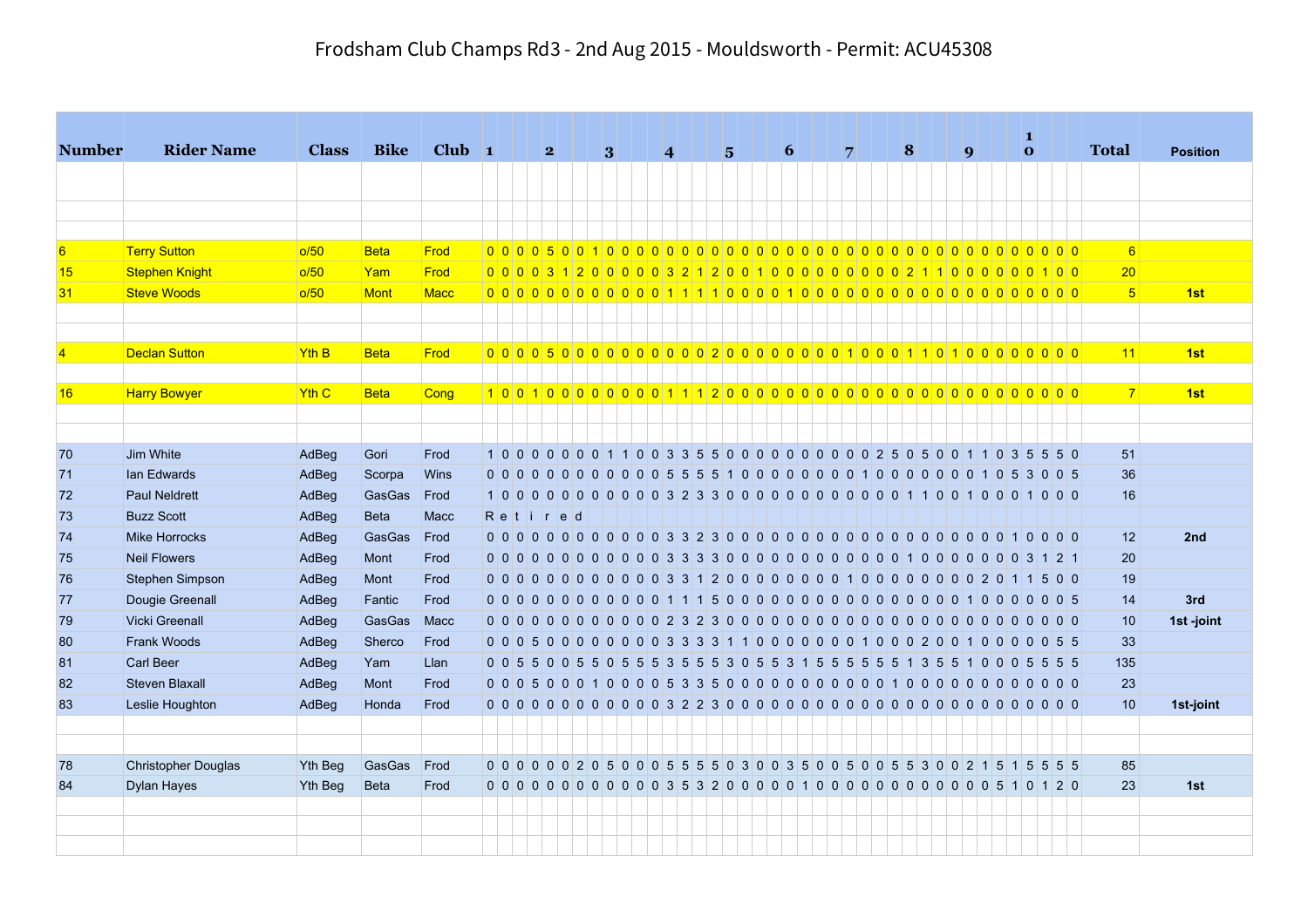| <b>Number</b>  | <b>Rider Name</b>     | <b>Class</b>   | <b>Bike</b> | $Club$ 1    |  | 2       |  | 3 |  | $\vert 4 \vert$ |  | $5^{\circ}$ |  | $\vert 6 \vert$ | $\overline{7}$ |  | $\vert 8 \vert$ |  | $\boldsymbol{q}$ |  | 1 | $\overline{\mathbf{o}}$ |                                                                                   | <b>Total</b>   | <b>Position</b> |
|----------------|-----------------------|----------------|-------------|-------------|--|---------|--|---|--|-----------------|--|-------------|--|-----------------|----------------|--|-----------------|--|------------------|--|---|-------------------------|-----------------------------------------------------------------------------------|----------------|-----------------|
|                |                       |                |             |             |  |         |  |   |  |                 |  |             |  |                 |                |  |                 |  |                  |  |   |                         |                                                                                   |                |                 |
|                |                       |                |             |             |  |         |  |   |  |                 |  |             |  |                 |                |  |                 |  |                  |  |   |                         |                                                                                   |                |                 |
|                |                       |                |             |             |  |         |  |   |  |                 |  |             |  |                 |                |  |                 |  |                  |  |   |                         |                                                                                   |                |                 |
| 6              | <b>Terry Sutton</b>   | o/50           | <b>Beta</b> | Frod        |  |         |  |   |  |                 |  |             |  |                 |                |  |                 |  |                  |  |   |                         |                                                                                   | 6 <sup>1</sup> |                 |
| 15             | <b>Stephen Knight</b> | o/50           | Yam         | Frod        |  |         |  |   |  |                 |  |             |  |                 |                |  |                 |  |                  |  |   |                         |                                                                                   | 20             |                 |
| 31             | <b>Steve Woods</b>    | o/50           | Mont        | <b>Macc</b> |  |         |  |   |  |                 |  |             |  |                 |                |  |                 |  |                  |  |   |                         |                                                                                   | 5 <sup>1</sup> | 1st             |
|                |                       |                |             |             |  |         |  |   |  |                 |  |             |  |                 |                |  |                 |  |                  |  |   |                         |                                                                                   |                |                 |
| $\overline{4}$ | <b>Declan Sutton</b>  | <b>Yth B</b>   | <b>Beta</b> | Frod        |  |         |  |   |  |                 |  |             |  |                 |                |  |                 |  |                  |  |   |                         |                                                                                   | 11             | 1st             |
|                |                       |                |             |             |  |         |  |   |  |                 |  |             |  |                 |                |  |                 |  |                  |  |   |                         |                                                                                   |                |                 |
| 16             | <b>Harry Bowyer</b>   | <b>Yth C</b>   | <b>Beta</b> | Cong        |  |         |  |   |  |                 |  |             |  |                 |                |  |                 |  |                  |  |   |                         |                                                                                   | 7 <sup>1</sup> | 1st             |
|                |                       |                |             |             |  |         |  |   |  |                 |  |             |  |                 |                |  |                 |  |                  |  |   |                         |                                                                                   |                |                 |
| 70             | Jim White             | AdBeg          | Gori        | Frod        |  |         |  |   |  |                 |  |             |  |                 |                |  |                 |  |                  |  |   |                         | 1000000011003355000000000025050011035550                                          | 51             |                 |
| 71             | lan Edwards           | AdBeg          | Scorpa      | Wins        |  |         |  |   |  |                 |  |             |  |                 |                |  |                 |  |                  |  |   |                         |                                                                                   | 36             |                 |
| 72             | <b>Paul Neldrett</b>  | AdBeg          | GasGas      | Frod        |  |         |  |   |  |                 |  |             |  |                 |                |  |                 |  |                  |  |   |                         |                                                                                   | 16             |                 |
| 73             | <b>Buzz Scott</b>     | AdBeg          | Beta        | Macc        |  | Retired |  |   |  |                 |  |             |  |                 |                |  |                 |  |                  |  |   |                         |                                                                                   |                |                 |
| 74             | Mike Horrocks         | AdBeg          | GasGas      | Frod        |  |         |  |   |  |                 |  |             |  |                 |                |  |                 |  |                  |  |   |                         |                                                                                   | 12             | 2nd             |
| 75             | <b>Neil Flowers</b>   | AdBeg          | Mont        | Frod        |  |         |  |   |  |                 |  |             |  |                 |                |  |                 |  |                  |  |   |                         |                                                                                   | 20             |                 |
| 76             | Stephen Simpson       | AdBeg          | Mont        | Frod        |  |         |  |   |  |                 |  |             |  |                 |                |  |                 |  |                  |  |   |                         |                                                                                   | 19             |                 |
| 77             | Dougie Greenall       | AdBeg          | Fantic      | Frod        |  |         |  |   |  |                 |  |             |  |                 |                |  |                 |  |                  |  |   |                         | $0\vert 0\vert 0\vert 5$                                                          | 14             | 3rd             |
| 79             | <b>Vicki Greenall</b> | AdBeg          | GasGas      | Macc        |  |         |  |   |  |                 |  |             |  |                 |                |  |                 |  |                  |  |   |                         |                                                                                   | 10             | 1st -joint      |
| 80             | <b>Frank Woods</b>    | AdBeg          | Sherco      | Frod        |  |         |  |   |  |                 |  |             |  |                 |                |  |                 |  |                  |  |   |                         |                                                                                   | 33             |                 |
| 81             | <b>Carl Beer</b>      | AdBeg          | Yam         | Llan        |  |         |  |   |  |                 |  |             |  |                 |                |  |                 |  |                  |  |   |                         | 0 0 5 5 0 0 5 5 0 5 5 5 3 5 5 5 3 0 5 5 3 1 5 5 5 5 5 5 6 7 3 5 5 1 0 0 0 5 5 5 5 | 135            |                 |
| 82             | <b>Steven Blaxall</b> | AdBeg          | Mont        | Frod        |  |         |  |   |  |                 |  |             |  |                 |                |  |                 |  |                  |  |   |                         |                                                                                   | 23             |                 |
| 83             | Leslie Houghton       | AdBeg          | Honda       | Frod        |  |         |  |   |  |                 |  |             |  |                 |                |  |                 |  |                  |  |   |                         |                                                                                   | 10             | 1st-joint       |
|                |                       |                |             |             |  |         |  |   |  |                 |  |             |  |                 |                |  |                 |  |                  |  |   |                         |                                                                                   |                |                 |
|                |                       |                |             |             |  |         |  |   |  |                 |  |             |  |                 |                |  |                 |  |                  |  |   |                         |                                                                                   |                |                 |
| 78             | Christopher Douglas   | <b>Yth Beg</b> | GasGas      | Frod        |  |         |  |   |  |                 |  |             |  |                 |                |  |                 |  |                  |  |   |                         | 0 0 0 0 0 0 2 0 5 0 0 0 5 5 5 5 6 7 8 0 0 3 5 0 0 5 0 0 5 5 3 0 0 2 1 5 1 5 5 5 5 | 85             |                 |
| 84             | <b>Dylan Hayes</b>    | Yth Beg        | <b>Beta</b> | Frod        |  |         |  |   |  |                 |  |             |  |                 |                |  |                 |  |                  |  |   |                         | 0 0 0 0 0 0 0 0 0 0 0 0 3 5 3 2 0 0 0 0 0 1 0 0 0 0 0 0 0 0 0 0 0 0 5 1 0 1 2 0   | 23             | 1st             |
|                |                       |                |             |             |  |         |  |   |  |                 |  |             |  |                 |                |  |                 |  |                  |  |   |                         |                                                                                   |                |                 |
|                |                       |                |             |             |  |         |  |   |  |                 |  |             |  |                 |                |  |                 |  |                  |  |   |                         |                                                                                   |                |                 |
|                |                       |                |             |             |  |         |  |   |  |                 |  |             |  |                 |                |  |                 |  |                  |  |   |                         |                                                                                   |                |                 |